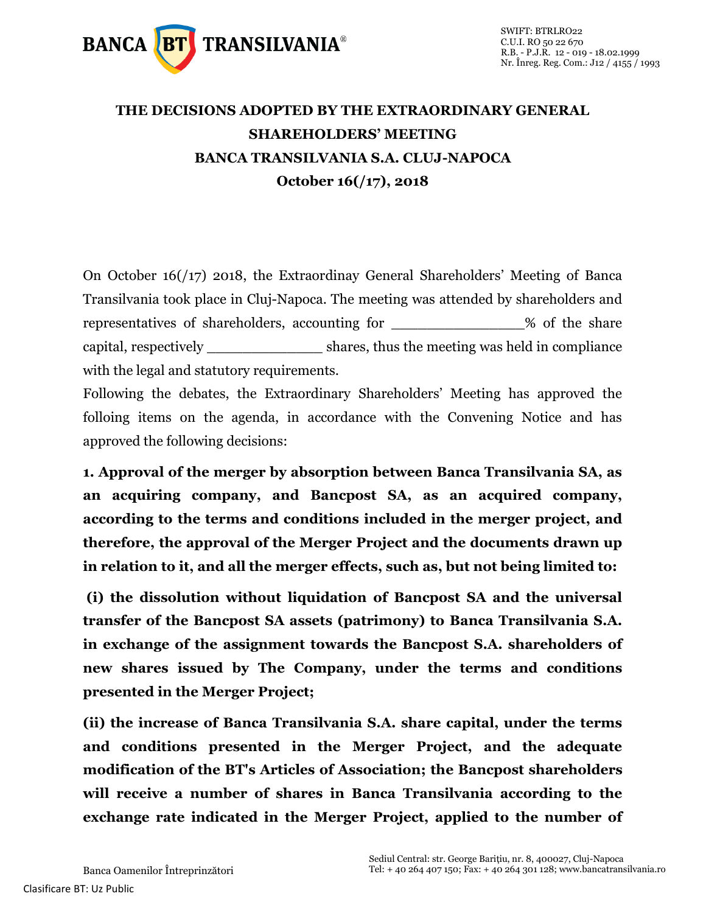

## **THE DECISIONS ADOPTED BY THE EXTRAORDINARY GENERAL SHAREHOLDERS' MEETING BANCA TRANSILVANIA S.A. CLUJ-NAPOCA October 16(/17), 2018**

On October 16(/17) 2018, the Extraordinay General Shareholders' Meeting of Banca Transilvania took place in Cluj-Napoca. The meeting was attended by shareholders and representatives of shareholders, accounting for \_\_\_\_\_\_\_\_\_\_\_\_\_\_\_\_% of the share capital, respectively \_\_\_\_\_\_\_\_\_\_\_\_\_ shares, thus the meeting was held in compliance with the legal and statutory requirements.

Following the debates, the Extraordinary Shareholders' Meeting has approved the folloing items on the agenda, in accordance with the Convening Notice and has approved the following decisions:

**1. Approval of the merger by absorption between Banca Transilvania SA, as an acquiring company, and Bancpost SA, as an acquired company, according to the terms and conditions included in the merger project, and therefore, the approval of the Merger Project and the documents drawn up in relation to it, and all the merger effects, such as, but not being limited to:**

**(i) the dissolution without liquidation of Bancpost SA and the universal transfer of the Bancpost SA assets (patrimony) to Banca Transilvania S.A. in exchange of the assignment towards the Bancpost S.A. shareholders of new shares issued by The Company, under the terms and conditions presented in the Merger Project;** 

**(ii) the increase of Banca Transilvania S.A. share capital, under the terms and conditions presented in the Merger Project, and the adequate modification of the BT's Articles of Association; the Bancpost shareholders will receive a number of shares in Banca Transilvania according to the exchange rate indicated in the Merger Project, applied to the number of**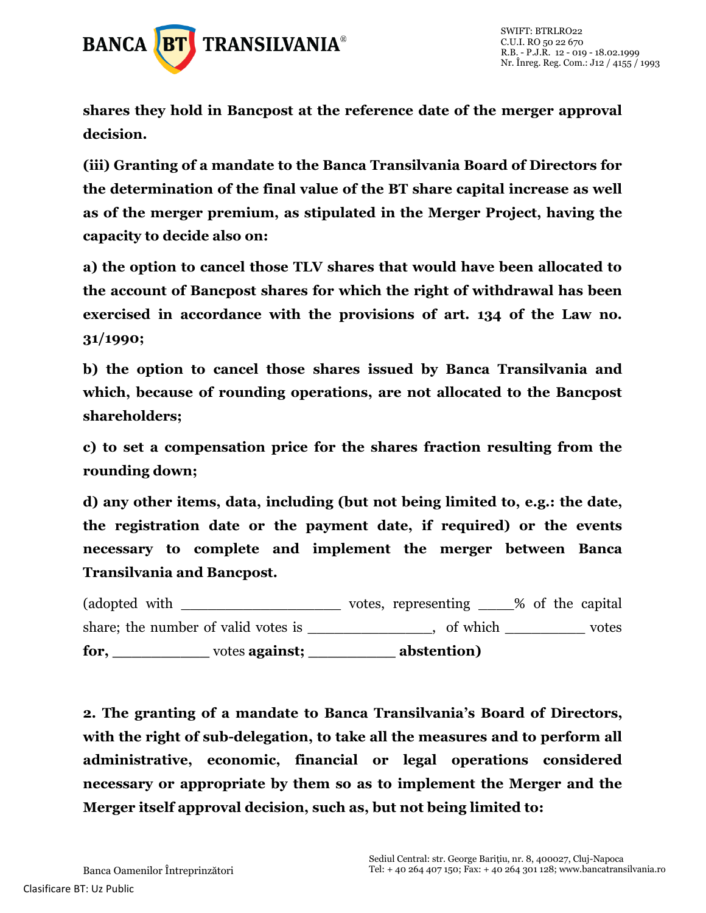

**shares they hold in Bancpost at the reference date of the merger approval decision.**

**(iii) Granting of a mandate to the Banca Transilvania Board of Directors for the determination of the final value of the BT share capital increase as well as of the merger premium, as stipulated in the Merger Project, having the capacity to decide also on:**

**a) the option to cancel those TLV shares that would have been allocated to the account of Bancpost shares for which the right of withdrawal has been exercised in accordance with the provisions of art. 134 of the Law no. 31/1990;** 

**b) the option to cancel those shares issued by Banca Transilvania and which, because of rounding operations, are not allocated to the Bancpost shareholders;** 

**c) to set a compensation price for the shares fraction resulting from the rounding down;** 

**d) any other items, data, including (but not being limited to, e.g.: the date, the registration date or the payment date, if required) or the events necessary to complete and implement the merger between Banca Transilvania and Bancpost.**

(adopted with  $\qquad \qquad \qquad \text{votes, representing } \qquad \qquad \text{\% of the capital}$ share; the number of valid votes is \_\_\_\_\_\_\_\_\_\_\_\_, of which \_\_\_\_\_\_\_\_\_\_ votes **for, \_\_\_\_\_\_\_\_\_\_** votes **against; \_\_\_\_\_\_\_\_\_ abstention)**

**2. The granting of a mandate to Banca Transilvania's Board of Directors, with the right of sub-delegation, to take all the measures and to perform all administrative, economic, financial or legal operations considered necessary or appropriate by them so as to implement the Merger and the Merger itself approval decision, such as, but not being limited to:**